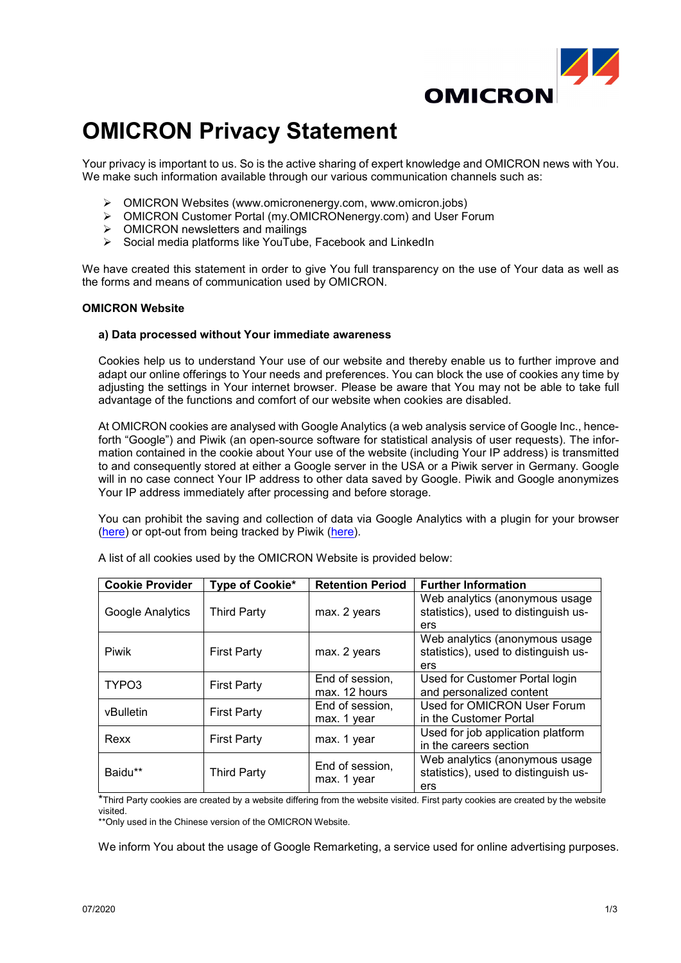

# **OMICRON Privacy Statement**

Your privacy is important to us. So is the active sharing of expert knowledge and OMICRON news with You. We make such information available through our various communication channels such as:

- OMICRON Websites (www.omicronenergy.com, www.omicron.jobs)
- $\triangleright$  OMICRON Customer Portal (my.OMICRONenergy.com) and User Forum  $\triangleright$  OMICRON newsletters and mailings
- OMICRON newsletters and mailings
- $\triangleright$  Social media platforms like YouTube, Facebook and LinkedIn

We have created this statement in order to give You full transparency on the use of Your data as well as the forms and means of communication used by OMICRON.

## **OMICRON Website**

## **a) Data processed without Your immediate awareness**

Cookies help us to understand Your use of our website and thereby enable us to further improve and adapt our online offerings to Your needs and preferences. You can block the use of cookies any time by adjusting the settings in Your internet browser. Please be aware that You may not be able to take full advantage of the functions and comfort of our website when cookies are disabled.

At OMICRON cookies are analysed with Google Analytics (a web analysis service of Google Inc., henceforth "Google") and Piwik (an open-source software for statistical analysis of user requests). The information contained in the cookie about Your use of the website (including Your IP address) is transmitted to and consequently stored at either a Google server in the USA or a Piwik server in Germany. Google will in no case connect Your IP address to other data saved by Google. Piwik and Google anonymizes Your IP address immediately after processing and before storage.

You can prohibit the saving and collection of data via Google Analytics with a plugin for your browser [\(here\)](https://www.omicronenergy.com/piwik/index.php?module=CoreAdminHome&action=optOut&language=en) or opt-out from being tracked by Piwik (here).

| <b>Cookie Provider</b> | Type of Cookie*    | <b>Retention Period</b>          | <b>Further Information</b>                                                    |
|------------------------|--------------------|----------------------------------|-------------------------------------------------------------------------------|
| Google Analytics       | <b>Third Party</b> | max. 2 years                     | Web analytics (anonymous usage<br>statistics), used to distinguish us-<br>ers |
| Piwik                  | <b>First Party</b> | max. 2 years                     | Web analytics (anonymous usage<br>statistics), used to distinguish us-<br>ers |
| TYPO3                  | <b>First Party</b> | End of session,<br>max. 12 hours | Used for Customer Portal login<br>and personalized content                    |
| vBulletin              | <b>First Party</b> | End of session.<br>max. 1 year   | Used for OMICRON User Forum<br>in the Customer Portal                         |
| Rexx                   | <b>First Party</b> | max. 1 year                      | Used for job application platform<br>in the careers section                   |
| Baidu**                | <b>Third Party</b> | End of session,<br>max. 1 year   | Web analytics (anonymous usage<br>statistics), used to distinguish us-<br>ers |

A list of all cookies used by the OMICRON Website is provided below:

\*Third Party cookies are created by a website differing from the website visited. First party cookies are created by the website visited.

\*\*Only used in the Chinese version of the OMICRON Website.

We inform You about the usage of Google Remarketing, a service used for online advertising purposes.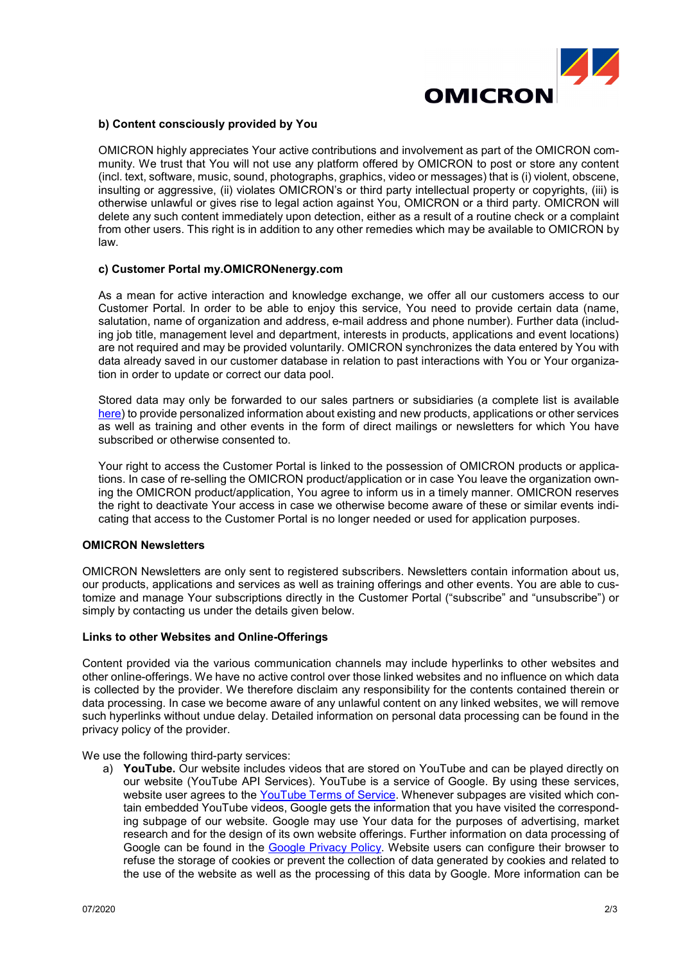

## **b) Content consciously provided by You**

OMICRON highly appreciates Your active contributions and involvement as part of the OMICRON community. We trust that You will not use any platform offered by OMICRON to post or store any content (incl. text, software, music, sound, photographs, graphics, video or messages) that is (i) violent, obscene, insulting or aggressive, (ii) violates OMICRON's or third party intellectual property or copyrights, (iii) is otherwise unlawful or gives rise to legal action against You, OMICRON or a third party. OMICRON will delete any such content immediately upon detection, either as a result of a routine check or a complaint from other users. This right is in addition to any other remedies which may be available to OMICRON by law.

## **c) Customer Portal my.OMICRONenergy.com**

As a mean for active interaction and knowledge exchange, we offer all our customers access to our Customer Portal. In order to be able to enjoy this service, You need to provide certain data (name, salutation, name of organization and address, e-mail address and phone number). Further data (including job title, management level and department, interests in products, applications and event locations) are not required and may be provided voluntarily. OMICRON synchronizes the data entered by You with data already saved in our customer database in relation to past interactions with You or Your organization in order to update or correct our data pool.

Stored data may only be forwarded to our sales partners or subsidiaries (a complete list is available [here\)](https://www.omicronenergy.com/en/contact/addresses/) to provide personalized information about existing and new products, applications or other services as well as training and other events in the form of direct mailings or newsletters for which You have subscribed or otherwise consented to.

Your right to access the Customer Portal is linked to the possession of OMICRON products or applications. In case of re-selling the OMICRON product/application or in case You leave the organization owning the OMICRON product/application, You agree to inform us in a timely manner. OMICRON reserves the right to deactivate Your access in case we otherwise become aware of these or similar events indicating that access to the Customer Portal is no longer needed or used for application purposes.

## **OMICRON Newsletters**

OMICRON Newsletters are only sent to registered subscribers. Newsletters contain information about us, our products, applications and services as well as training offerings and other events. You are able to customize and manage Your subscriptions directly in the Customer Portal ("subscribe" and "unsubscribe") or simply by contacting us under the details given below.

## **Links to other Websites and Online-Offerings**

Content provided via the various communication channels may include hyperlinks to other websites and other online-offerings. We have no active control over those linked websites and no influence on which data is collected by the provider. We therefore disclaim any responsibility for the contents contained therein or data processing. In case we become aware of any unlawful content on any linked websites, we will remove such hyperlinks without undue delay. Detailed information on personal data processing can be found in the privacy policy of the provider.

We use the following third-party services:

a) **YouTube.** Our website includes videos that are stored on YouTube and can be played directly on our website (YouTube API Services). YouTube is a service of Google. By using these services, website user agrees to the [YouTube Terms of Service.](https://www.youtube.com/t/terms) Whenever subpages are visited which contain embedded YouTube videos, Google gets the information that you have visited the corresponding subpage of our website. Google may use Your data for the purposes of advertising, market research and for the design of its own website offerings. Further information on data processing of Google can be found in the [Google Privacy Policy.](https://policies.google.com/privacy) Website users can configure their browser to refuse the storage of cookies or prevent the collection of data generated by cookies and related to the use of the website as well as the processing of this data by Google. More information can be